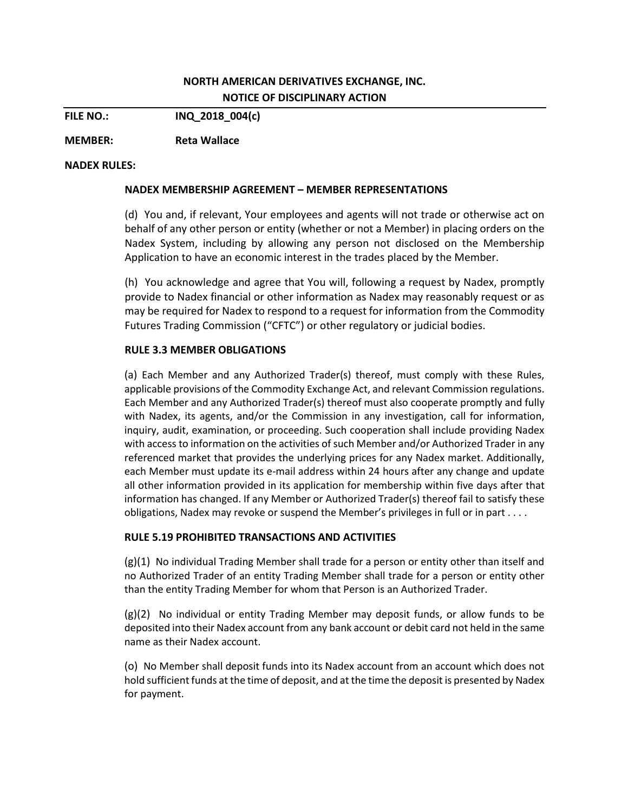# **NORTH AMERICAN DERIVATIVES EXCHANGE, INC. NOTICE OF DISCIPLINARY ACTION**

**FILE NO.: INQ\_2018\_004(c)**

**MEMBER: Reta Wallace**

### **NADEX RULES:**

### **NADEX MEMBERSHIP AGREEMENT – MEMBER REPRESENTATIONS**

(d) You and, if relevant, Your employees and agents will not trade or otherwise act on behalf of any other person or entity (whether or not a Member) in placing orders on the Nadex System, including by allowing any person not disclosed on the Membership Application to have an economic interest in the trades placed by the Member.

(h) You acknowledge and agree that You will, following a request by Nadex, promptly provide to Nadex financial or other information as Nadex may reasonably request or as may be required for Nadex to respond to a request for information from the Commodity Futures Trading Commission ("CFTC") or other regulatory or judicial bodies.

## **RULE 3.3 MEMBER OBLIGATIONS**

(a) Each Member and any Authorized Trader(s) thereof, must comply with these Rules, applicable provisions of the Commodity Exchange Act, and relevant Commission regulations. Each Member and any Authorized Trader(s) thereof must also cooperate promptly and fully with Nadex, its agents, and/or the Commission in any investigation, call for information, inquiry, audit, examination, or proceeding. Such cooperation shall include providing Nadex with access to information on the activities of such Member and/or Authorized Trader in any referenced market that provides the underlying prices for any Nadex market. Additionally, each Member must update its e-mail address within 24 hours after any change and update all other information provided in its application for membership within five days after that information has changed. If any Member or Authorized Trader(s) thereof fail to satisfy these obligations, Nadex may revoke or suspend the Member's privileges in full or in part . . . .

### **RULE 5.19 PROHIBITED TRANSACTIONS AND ACTIVITIES**

(g)(1) No individual Trading Member shall trade for a person or entity other than itself and no Authorized Trader of an entity Trading Member shall trade for a person or entity other than the entity Trading Member for whom that Person is an Authorized Trader.

(g)(2) No individual or entity Trading Member may deposit funds, or allow funds to be deposited into their Nadex account from any bank account or debit card not held in the same name as their Nadex account.

(o) No Member shall deposit funds into its Nadex account from an account which does not hold sufficient funds at the time of deposit, and at the time the deposit is presented by Nadex for payment.